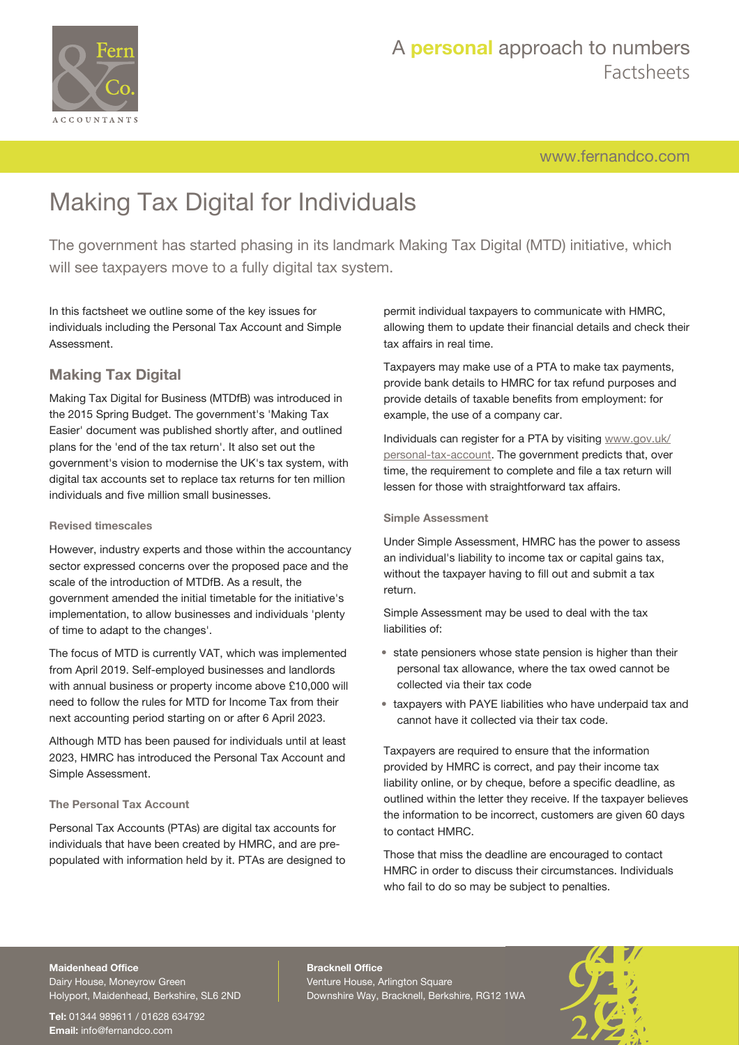

[www.fernandco.com](http://www.fernandco.com)

# Making Tax Digital for Individuals

The government has started phasing in its landmark Making Tax Digital (MTD) initiative, which will see taxpayers move to a fully digital tax system.

In this factsheet we outline some of the key issues for individuals including the Personal Tax Account and Simple Assessment.

## **Making Tax Digital**

Making Tax Digital for Business (MTDfB) was introduced in the 2015 Spring Budget. The government's 'Making Tax Easier' document was published shortly after, and outlined plans for the 'end of the tax return'. It also set out the government's vision to modernise the UK's tax system, with digital tax accounts set to replace tax returns for ten million individuals and five million small businesses.

#### **Revised timescales**

However, industry experts and those within the accountancy sector expressed concerns over the proposed pace and the scale of the introduction of MTDfB. As a result, the government amended the initial timetable for the initiative's implementation, to allow businesses and individuals 'plenty of time to adapt to the changes'.

The focus of MTD is currently VAT, which was implemented from April 2019. Self-employed businesses and landlords with annual business or property income above £10,000 will need to follow the rules for MTD for Income Tax from their next accounting period starting on or after 6 April 2023.

Although MTD has been paused for individuals until at least 2023, HMRC has introduced the Personal Tax Account and Simple Assessment.

#### **The Personal Tax Account**

Personal Tax Accounts (PTAs) are digital tax accounts for individuals that have been created by HMRC, and are prepopulated with information held by it. PTAs are designed to permit individual taxpayers to communicate with HMRC, allowing them to update their financial details and check their tax affairs in real time.

Taxpayers may make use of a PTA to make tax payments, provide bank details to HMRC for tax refund purposes and provide details of taxable benefits from employment: for example, the use of a company car.

Individuals can register for a PTA by visiting [www.gov.uk/](http://www.gov.uk/personal-tax-account) [personal-tax-account](http://www.gov.uk/personal-tax-account). The government predicts that, over time, the requirement to complete and file a tax return will lessen for those with straightforward tax affairs.

#### **Simple Assessment**

Under Simple Assessment, HMRC has the power to assess an individual's liability to income tax or capital gains tax, without the taxpayer having to fill out and submit a tax return.

Simple Assessment may be used to deal with the tax liabilities of:

- state pensioners whose state pension is higher than their personal tax allowance, where the tax owed cannot be collected via their tax code
- taxpayers with PAYE liabilities who have underpaid tax and cannot have it collected via their tax code.

Taxpayers are required to ensure that the information provided by HMRC is correct, and pay their income tax liability online, or by cheque, before a specific deadline, as outlined within the letter they receive. If the taxpayer believes the information to be incorrect, customers are given 60 days to contact HMRC.

Those that miss the deadline are encouraged to contact HMRC in order to discuss their circumstances. Individuals who fail to do so may be subject to penalties.

#### **Maidenhead Office**

Dairy House, Moneyrow Green Holyport, Maidenhead, Berkshire, SL6 2ND

**Tel:** 01344 989611 / 01628 634792 **Email:** [info@fernandco.com](mailto:info@fernandco.com)

**Bracknell Office** Venture House, Arlington Square Downshire Way, Bracknell, Berkshire, RG12 1WA